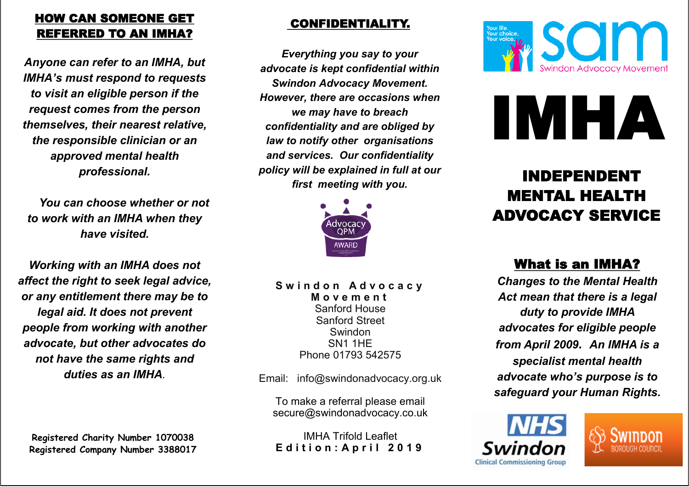## HOW CAN SOMEONE GET REFERRED TO AN IMHA?

*Anyone can refer to an IMHA, but IMHA's must respond to requests to visit an eligible person if the request comes from the person themselves, their nearest relative, the responsible clinician or an approved mental health professional.*

 *You can choose whether or not to work with an IMHA when they have visited.*

*Working with an IMHA does not affect the right to seek legal advice, or any entitlement there may be to legal aid. It does not prevent people from working with another advocate, but other advocates do not have the same rights and duties as an IMHA.*

**Registered Charity Number 1070038 Registered Company Number 3388017**

### CONFIDENTIALITY.

*Everything you say to your advocate is kept confidential within Swindon Advocacy Movement. However, there are occasions when we may have to breach confidentiality and are obliged by law to notify other organisations and services. Our confidentiality policy will be explained in full at our first meeting with you.*



**S w i n d o n A d v o c a c y M o v e m e n t**  Sanford House Sanford Street Swindon SN1 1HE Phone 01793 542575

Email: info@swindonadvocacy.org.uk

To make a referral please email secure@swindonadvocacy.co.uk

IMHA Trifold Leaflet **Edition: April 2019** 





# INDEPENDENT MENTAL HEALTH ADVOCACY SERVICE

# What is an IMHA?

*Changes to the Mental Health Act mean that there is a legal duty to provide IMHA advocates for eligible people from April 2009. An IMHA is a specialist mental health advocate who's purpose is to safeguard your Human Rights.*